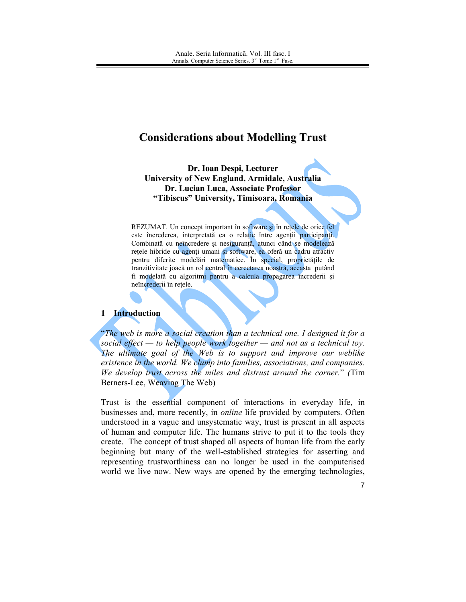# **Considerations about Modelling Trust**

Dr. Ioan Despi, Lecturer University of New England, Armidale, Australia Dr. Lucian Luca, Associate Professor "Tibiscus" University, Timisoara, Romania

REZUMAT. Un concept important în software și în rețele de orice fel este încrederea, interpretată ca o relație între agenții participanți. Combinată cu neîncredere și nesiguranță, atunci când se modelează retele hibride cu agenți umani și software, ea oferă un cadru atractiv pentru diferite modelări matematice. În special, proprietățile de tranzitivitate joacă un rol central în cercetarea noastră, aceasta putând fi modelată cu algoritmi pentru a calcula propagarea încrederii și neîncrederii în rețele.

## 1 Introduction

"The web is more a social creation than a technical one. I designed it for a social effect — to help people work together — and not as a technical toy. The ultimate goal of the Web is to support and improve our weblike existence in the world. We clump into families, associations, and companies. We develop trust across the miles and distrust around the corner." (Tim Berners-Lee, Weaving The Web)

Trust is the essential component of interactions in everyday life, in businesses and, more recently, in *online* life provided by computers. Often understood in a vague and unsystematic way, trust is present in all aspects of human and computer life. The humans strive to put it to the tools they create. The concept of trust shaped all aspects of human life from the early beginning but many of the well-established strategies for asserting and representing trustworthiness can no longer be used in the computerised world we live now. New ways are opened by the emerging technologies,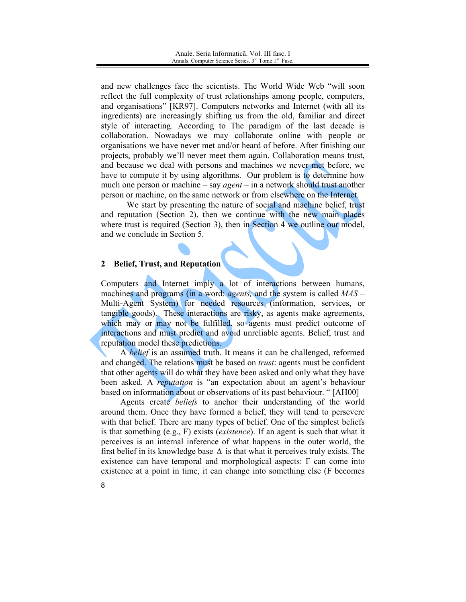and new challenges face the scientists. The World Wide Web "will soon reflect the full complexity of trust relationships among people, computers, and organisations" [KR97]. Computers networks and Internet (with all its ingredients) are increasingly shifting us from the old, familiar and direct style of interacting. According to The paradigm of the last decade is collaboration. Nowadays we may collaborate online with people or organisations we have never met and/or heard of before. After finishing our projects, probably we'll never meet them again. Collaboration means trust, and because we deal with persons and machines we never met before, we have to compute it by using algorithms. Our problem is to determine how much one person or machine – say *agent* – in a network should trust another person or machine, on the same network or from elsewhere on the Internet.

We start by presenting the nature of social and machine belief, trust and reputation (Section 2), then we continue with the new main places where trust is required (Section 3), then in Section 4 we outline our model, and we conclude in Section 5.

#### **Belief, Trust, and Reputation**  $\overline{2}$

Computers and Internet imply a lot of interactions between humans, machines and programs (in a word: *agents*, and the system is called  $MAS$  – Multi-Agent System) for needed resources (information, services, or tangible goods). These interactions are risky, as agents make agreements, which may or may not be fulfilled, so agents must predict outcome of interactions and must predict and avoid unreliable agents. Belief, trust and reputation model these predictions.

A belief is an assumed truth. It means it can be challenged, reformed and changed. The relations must be based on *trust*: agents must be confident that other agents will do what they have been asked and only what they have been asked. A *reputation* is "an expectation about an agent's behaviour based on information about or observations of its past behaviour. "[AH00]

Agents create *beliefs* to anchor their understanding of the world around them. Once they have formed a belief, they will tend to persevere with that belief. There are many types of belief. One of the simplest beliefs is that something (e.g., F) exists *(existence)*. If an agent is such that what it perceives is an internal inference of what happens in the outer world, the first belief in its knowledge base  $\Delta$  is that what it perceives truly exists. The existence can have temporal and morphological aspects: F can come into existence at a point in time, it can change into something else (F becomes

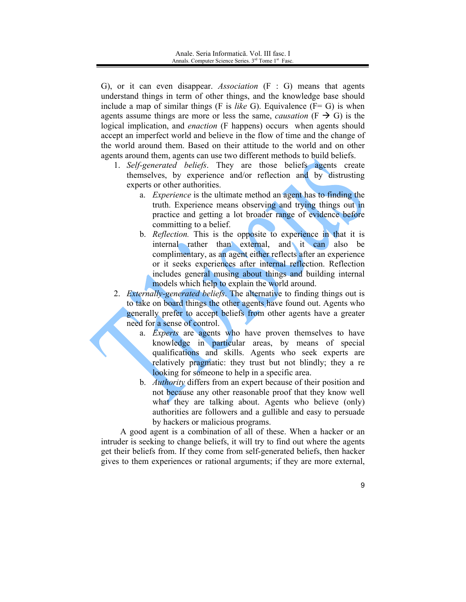G), or it can even disappear. Association  $(F : G)$  means that agents understand things in term of other things, and the knowledge base should include a map of similar things (F is *like G*). Equivalence ( $F = G$ ) is when agents assume things are more or less the same, *causation* ( $F \rightarrow G$ ) is the logical implication, and *enaction* (F happens) occurs when agents should accept an imperfect world and believe in the flow of time and the change of the world around them. Based on their attitude to the world and on other agents around them, agents can use two different methods to build beliefs.

- 1. Self-generated beliefs. They are those beliefs agents create themselves, by experience and/or reflection and by distrusting experts or other authorities.
	- a. *Experience* is the ultimate method an agent has to finding the truth. Experience means observing and trying things out in practice and getting a lot broader range of evidence before committing to a belief.
	- b. Reflection. This is the opposite to experience in that it is internal rather than external, and it can also be complimentary, as an agent either reflects after an experience or it seeks experiences after internal reflection. Reflection includes general musing about things and building internal models which help to explain the world around.
- 2. *Externally-generated beliefs*. The alternative to finding things out is to take on board things the other agents have found out. Agents who generally prefer to accept beliefs from other agents have a greater need for a sense of control.
	- a. *Experts* are agents who have proven themselves to have knowledge in particular areas, by means of special qualifications and skills. Agents who seek experts are relatively pragmatic: they trust but not blindly; they a re looking for someone to help in a specific area.
	- b. *Authority* differs from an expert because of their position and not because any other reasonable proof that they know well what they are talking about. Agents who believe (only) authorities are followers and a gullible and easy to persuade by hackers or malicious programs.

A good agent is a combination of all of these. When a hacker or an intruder is seeking to change beliefs, it will try to find out where the agents get their beliefs from. If they come from self-generated beliefs, then hacker gives to them experiences or rational arguments; if they are more external,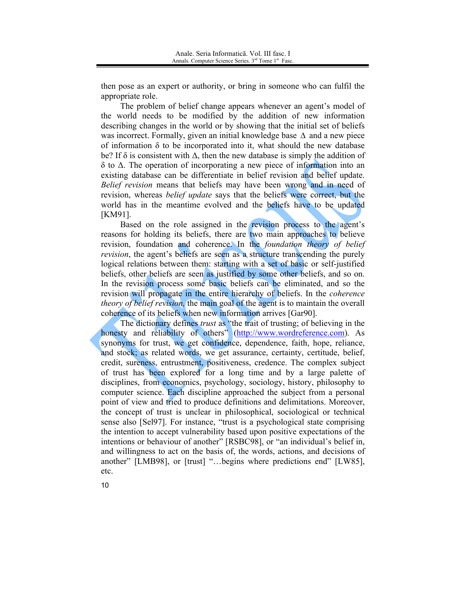then pose as an expert or authority, or bring in someone who can fulfil the appropriate role.

The problem of belief change appears whenever an agent's model of the world needs to be modified by the addition of new information describing changes in the world or by showing that the initial set of beliefs was incorrect. Formally, given an initial knowledge base  $\Delta$  and a new piece of information  $\delta$  to be incorporated into it, what should the new database be? If  $\delta$  is consistent with  $\Delta$ , then the new database is simply the addition of  $\delta$  to  $\Delta$ . The operation of incorporating a new piece of information into an existing database can be differentiate in belief revision and belief update. Belief revision means that beliefs may have been wrong and in need of revision, whereas *belief update* says that the beliefs were correct, but the world has in the meantime evolved and the beliefs have to be updated **TKM911** 

Based on the role assigned in the revision process to the agent's reasons for holding its beliefs, there are two main approaches to believe revision, foundation and coherence. In the *foundation theory of belief revision*, the agent's beliefs are seen as a structure transcending the purely logical relations between them: starting with a set of basic or self-justified beliefs, other beliefs are seen as justified by some other beliefs, and so on. In the revision process some basic beliefs can be eliminated, and so the revision will propagate in the entire hierarchy of beliefs. In the *coherence theory of belief revision*, the main goal of the agent is to maintain the overall coherence of its beliefs when new information arrives [Gar90].

The dictionary defines *trust* as "the trait of trusting; of believing in the honesty and reliability of others" (http://www.wordreference.com). As synonyms for trust, we get confidence, dependence, faith, hope, reliance, and stock; as related words, we get assurance, certainty, certitude, belief, credit, sureness, entrustment, positiveness, credence. The complex subject of trust has been explored for a long time and by a large palette of disciplines, from economics, psychology, sociology, history, philosophy to computer science. Each discipline approached the subject from a personal point of view and tried to produce definitions and delimitations. Moreover, the concept of trust is unclear in philosophical, sociological or technical sense also [Sel97]. For instance, "trust is a psychological state comprising the intention to accept vulnerability based upon positive expectations of the intentions or behaviour of another" [RSBC98], or "an individual's belief in, and willingness to act on the basis of, the words, actions, and decisions of another" [LMB98], or [trust] "...begins where predictions end" [LW85], etc.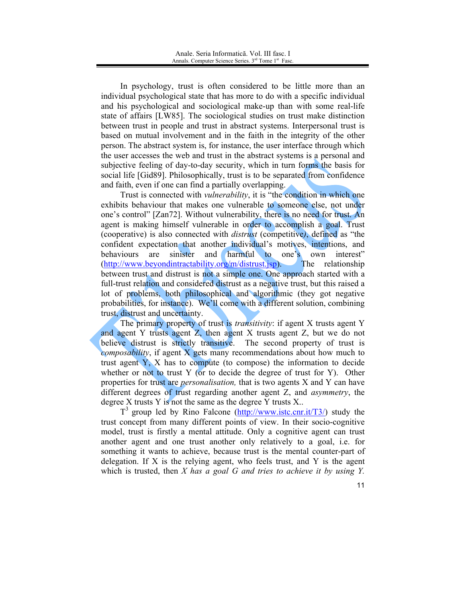In psychology, trust is often considered to be little more than an individual psychological state that has more to do with a specific individual and his psychological and sociological make-up than with some real-life state of affairs [LW85]. The sociological studies on trust make distinction between trust in people and trust in abstract systems. Interpersonal trust is based on mutual involvement and in the faith in the integrity of the other person. The abstract system is, for instance, the user interface through which the user accesses the web and trust in the abstract systems is a personal and subjective feeling of day-to-day security, which in turn forms the basis for social life [Gid89]. Philosophically, trust is to be separated from confidence and faith, even if one can find a partially overlapping.

Trust is connected with *vulnerability*, it is "the **condition** in which one exhibits behaviour that makes one vulnerable to someone else, not under one's control" [Zan72]. Without vulnerability, there is no need for trust. An agent is making himself vulnerable in order to accomplish a goal. Trust (cooperative) is also connected with *distrust* (competitive), defined as "the confident expectation that another individual's motives, intentions, and behaviours are sinister and harmful to one's own interest" The relationship  $(http://www.beyond intractability.org/m/distrust.jsp).$ between trust and distrust is not a simple one. One approach started with a full-trust relation and considered distrust as a negative trust, but this raised a lot of problems, both philosophical and algorithmic (they got negative probabilities, for instance). We'll come with a different solution, combining trust, distrust and uncertainty.

The primary property of trust is *transitivity*: if agent X trusts agent Y and agent Y trusts agent Z, then agent X trusts agent Z, but we do not believe distrust is strictly transitive. The second property of trust is *composability*, if agent X gets many recommendations about how much to trust agent Y, X has to compute (to compose) the information to decide whether or not to trust  $Y$  (or to decide the degree of trust for  $Y$ ). Other properties for trust are *personalisation*, that is two agents X and Y can have different degrees of trust regarding another agent Z, and *asymmetry*, the degree  $X$  trusts  $Y$  is not the same as the degree  $Y$  trusts  $X$ .

 $T<sup>3</sup>$  group led by Rino Falcone (http://www.istc.cnr.it/T3/) study the trust concept from many different points of view. In their socio-cognitive model, trust is firstly a mental attitude. Only a cognitive agent can trust another agent and one trust another only relatively to a goal, i.e. for something it wants to achieve, because trust is the mental counter-part of delegation. If  $X$  is the relying agent, who feels trust, and  $Y$  is the agent which is trusted, then  $X$  has a goal  $G$  and tries to achieve it by using  $Y$ .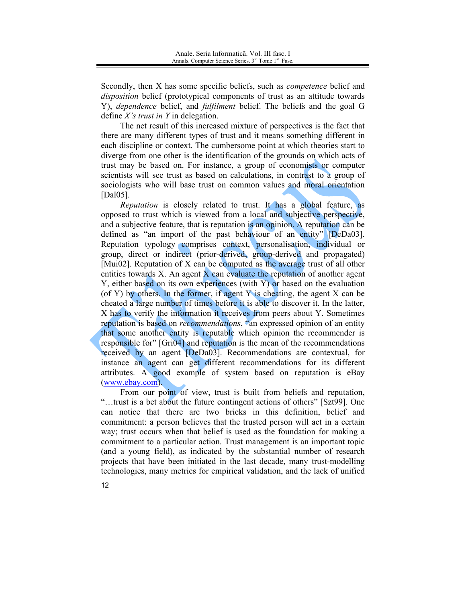Secondly, then X has some specific beliefs, such as *competence* belief and *disposition* belief (prototypical components of trust as an attitude towards Y), *dependence* belief, and *fulfilment* belief. The beliefs and the goal G define X's trust in Y in delegation.

The net result of this increased mixture of perspectives is the fact that there are many different types of trust and it means something different in each discipline or context. The cumbersome point at which theories start to diverge from one other is the identification of the grounds on which acts of trust may be based on. For instance, a group of economists or computer scientists will see trust as based on calculations, in contrast to a group of sociologists who will base trust on common values and moral orientation [Dal $05$ ].

Reputation is closely related to trust. It has a global feature, as opposed to trust which is viewed from a local and subjective perspective. and a subjective feature, that is reputation is an opinion. A reputation can be defined as "an import of the past behaviour of an entity" [DeDa03]. Reputation typology comprises context, personalisation, individual or group, direct or indirect (prior-derived, group-derived and propagated) [Mui02]. Reputation of  $X$  can be computed as the average trust of all other entities towards  $X$ . An agent  $X$  can evaluate the reputation of another agent Y, either based on its own experiences (with Y) or based on the evaluation (of Y) by others. In the former, if agent Y is cheating, the agent X can be cheated a large number of times before it is able to discover it. In the latter, X has to verify the information it receives from peers about Y. Sometimes reputation is based on *recommendations*, "an expressed opinion of an entity that some another entity is reputable which opinion the recommender is responsible for" [Gri04] and reputation is the mean of the recommendations received by an agent [DeDa03]. Recommendations are contextual, for instance an agent can get different recommendations for its different attributes. A good example of system based on reputation is eBay (www.ebay.com).

From our point of view, trust is built from beliefs and reputation, "...trust is a bet about the future contingent actions of others" [Szt99]. One can notice that there are two bricks in this definition, belief and commitment: a person believes that the trusted person will act in a certain way; trust occurs when that belief is used as the foundation for making a commitment to a particular action. Trust management is an important topic (and a young field), as indicated by the substantial number of research projects that have been initiated in the last decade, many trust-modelling technologies, many metrics for empirical validation, and the lack of unified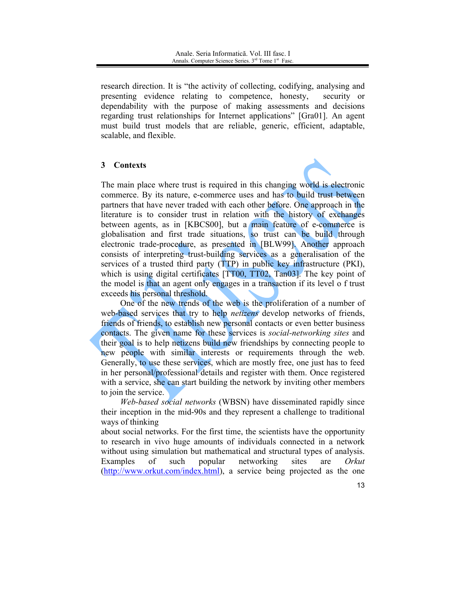research direction. It is "the activity of collecting, codifying, analysing and presenting evidence relating to competence, honesty, security or dependability with the purpose of making assessments and decisions regarding trust relationships for Internet applications" [Gra01]. An agent must build trust models that are reliable, generic, efficient, adaptable, scalable, and flexible.

### 3 Contexts



The main place where trust is required in this changing world is electronic commerce. By its nature, e-commerce uses and has to build trust between partners that have never traded with each other before. One approach in the literature is to consider trust in relation with the history of exchanges between agents, as in [KBCS00], but a main feature of e-commerce is globalisation and first trade situations, so trust can be build through electronic trade-procedure, as presented in [BLW99]. Another approach consists of interpreting trust-building services as a generalisation of the services of a trusted third party (TTP) in public key infrastructure (PKI), which is using digital certificates [TT00, TT02, Tan03]. The key point of the model is that an agent only engages in a transaction if its level of trust exceeds his personal threshold.

One of the new trends of the web is the proliferation of a number of web-based services that try to help netizens develop networks of friends, friends of friends, to establish new personal contacts or even better business contacts. The given name for these services is *social-networking sites* and their goal is to help netizens build new friendships by connecting people to new people with similar interests or requirements through the web. Generally, to use these services, which are mostly free, one just has to feed in her personal/professional details and register with them. Once registered with a service, she can start building the network by inviting other members to join the service.

Web-based social networks (WBSN) have disseminated rapidly since their inception in the mid-90s and they represent a challenge to traditional ways of thinking

about social networks. For the first time, the scientists have the opportunity to research in vivo huge amounts of individuals connected in a network without using simulation but mathematical and structural types of analysis. networking Examples of such popular sites are Orkut (http://www.orkut.com/index.html), a service being projected as the one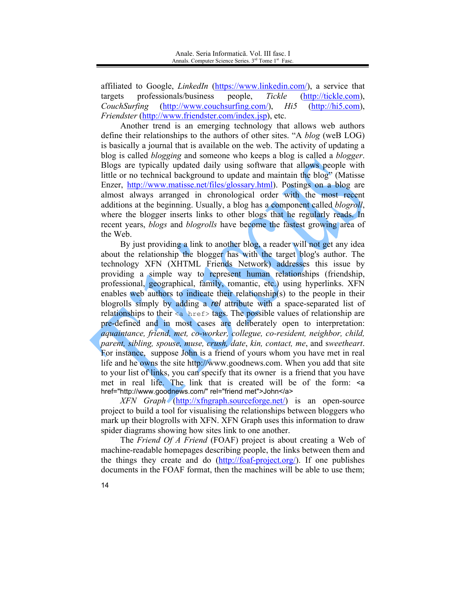affiliated to Google, *LinkedIn* (https://www.linkedin.com/), a service that professionals/business people, Tickle (http://tickle.com). targets CouchSurfing  $(http://hi5.com)$ ,  $(http://www.couchsurfing.com/), \quad Hi5$ *Friendster* (http://www.friendster.com/index.jsp), etc.

Another trend is an emerging technology that allows web authors define their relationships to the authors of other sites. "A *blog* (weB LOG) is basically a journal that is available on the web. The activity of updating a blog is called *blogging* and someone who keeps a blog is called a *blogger*. Blogs are typically updated daily using software that allows people with little or no technical background to update and maintain the blog" (Matisse Enzer, http://www.matisse.net/files/glossary.html). Postings on a blog are almost always arranged in chronological order with the most recent additions at the beginning. Usually, a blog has a component called *blogroll*, where the blogger inserts links to other blogs that he regularly reads. In recent years, *blogs* and *blogrolls* have become the fastest growing area of the Web.

By just providing a link to another blog, a reader will not get any idea about the relationship the blogger has with the target blog's author. The technology XFN (XHTML Friends Network) addresses this issue by providing a simple way to represent human relationships (friendship, professional, geographical, family, romantic, etc.) using hyperlinks. XFN enables web authors to indicate their relationship(s) to the people in their blogrolls simply by adding a rel attribute with a space-separated list of relationships to their <a href> tags. The possible values of relationship are pre-defined and in most cases are deliberately open to interpretation: aquaintance, friend, met, co-worker, collegue, co-resident, neighbor, child, parent, sibling, spouse, muse, crush, date, kin, contact, me, and sweetheart. For instance, suppose John is a friend of yours whom you have met in real life and he owns the site http://www.goodnews.com. When you add that site to your list of links, you can specify that its owner is a friend that you have met in real life. The link that is created will be of the form: <a href="http://www.goodnews.com/" rel="friend met">John</a>

 $XFN$  Graph (http://xfngraph.sourceforge.net/) is an open-source project to build a tool for visualising the relationships between bloggers who mark up their blogrolls with XFN. XFN Graph uses this information to draw spider diagrams showing how sites link to one another.

The Friend Of A Friend (FOAF) project is about creating a Web of machine-readable homepages describing people, the links between them and the things they create and do (http://foaf-project.org/). If one publishes documents in the FOAF format, then the machines will be able to use them;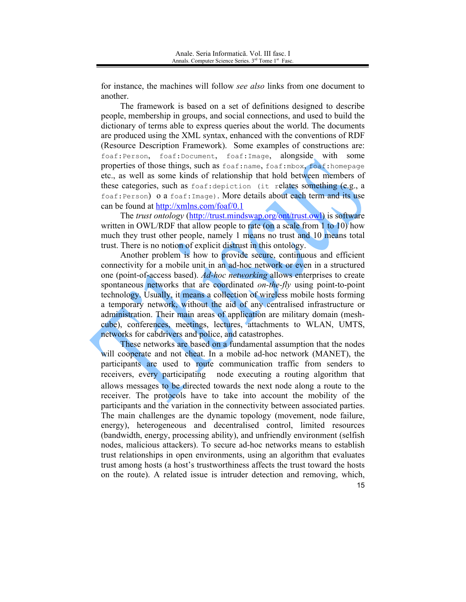for instance, the machines will follow *see also* links from one document to another.

The framework is based on a set of definitions designed to describe people, membership in groups, and social connections, and used to build the dictionary of terms able to express queries about the world. The documents are produced using the XML syntax, enhanced with the conventions of RDF (Resource Description Framework). Some examples of constructions are: foaf:Person, foaf:Document, foaf:Image, alongside with some properties of those things, such as foaf:name, foaf:mbox, foaf:homepage etc., as well as some kinds of relationship that hold between members of these categories, such as foaf: depiction (it relates something (e.g., a foaf: Person) 0 a foaf: Image). More details about each term and its use can be found at http://xmlns.com/foaf/0.1

The *trust ontology* (http://trust.mindswap.org/ont/trust.owl) is software written in OWL/RDF that allow people to rate (on a scale from  $1$  to  $10$ ) how much they trust other people, namely 1 means no trust and 10 means total trust. There is no notion of explicit distrust in this ontology.

Another problem is how to provide secure, continuous and efficient connectivity for a mobile unit in an ad-hoc network or even in a structured one (point-of-access based). Ad-hoc networking allows enterprises to create spontaneous networks that are coordinated on-the-fly using point-to-point technology. Usually, it means a collection of wireless mobile hosts forming a temporary network, without the aid of any centralised infrastructure or administration. Their main areas of application are military domain (meshcube), conferences, meetings, lectures, attachments to WLAN, UMTS, networks for cabdrivers and police, and catastrophes.

These networks are based on a fundamental assumption that the nodes will cooperate and not cheat. In a mobile ad-hoc network (MANET), the participants are used to route communication traffic from senders to receivers, every participating node executing a routing algorithm that allows messages to be directed towards the next node along a route to the receiver. The protocols have to take into account the mobility of the participants and the variation in the connectivity between associated parties. The main challenges are the dynamic topology (movement, node failure, energy), heterogeneous and decentralised control, limited resources (bandwidth, energy, processing ability), and unfriendly environment (selfish nodes, malicious attackers). To secure ad-hoc networks means to establish trust relationships in open environments, using an algorithm that evaluates trust among hosts (a host's trustworthiness affects the trust toward the hosts on the route). A related issue is intruder detection and removing, which, 15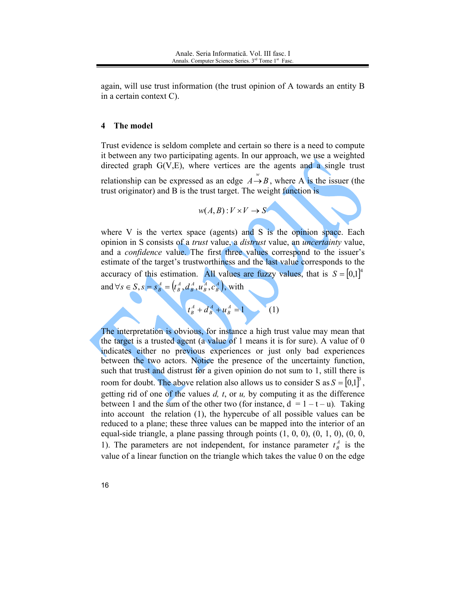again, will use trust information (the trust opinion of A towards an entity B in a certain context C).

#### The model 4

Trust evidence is seldom complete and certain so there is a need to compute it between any two participating agents. In our approach, we use a weighted directed graph  $G(V,E)$ , where vertices are the agents and a single trust relationship can be expressed as an edge  $A \rightarrow B$ , where A is the issuer (the trust originator) and B is the trust target. The weight function is

$$
w(A, B) : V \times V \to S
$$

where V is the vertex space (agents) and S is the opinion space. Each opinion in S consists of a *trust* value, a *distrust* value, an *uncertainty* value, and a *confidence* value. The first three values correspond to the issuer's estimate of the target's trustworthiness and the last value corresponds to the accuracy of this estimation. All values are fuzzy values, that is  $S = [0,1]^4$ and  $\forall s \in S$ ,  $s = s_B^A = (t_B^A, d_B^A, u_B^A, c_B^A)$ , with



The interpretation is obvious, for instance a high trust value may mean that the target is a trusted agent (a value of 1 means it is for sure). A value of 0 indicates either no previous experiences or just only bad experiences between the two actors. Notice the presence of the uncertainty function, such that trust and distrust for a given opinion do not sum to 1, still there is room for doubt. The above relation also allows us to consider S as  $S = [0,1]^3$ , getting rid of one of the values  $d$ ,  $t$ , or  $u$ , by computing it as the difference between 1 and the sum of the other two (for instance,  $d = 1 - t - u$ ). Taking into account the relation (1), the hypercube of all possible values can be reduced to a plane; these three values can be mapped into the interior of an equal-side triangle, a plane passing through points  $(1, 0, 0)$ ,  $(0, 1, 0)$ ,  $(0, 0, 0)$ 1). The parameters are not independent, for instance parameter  $t^A_B$  is the value of a linear function on the triangle which takes the value 0 on the edge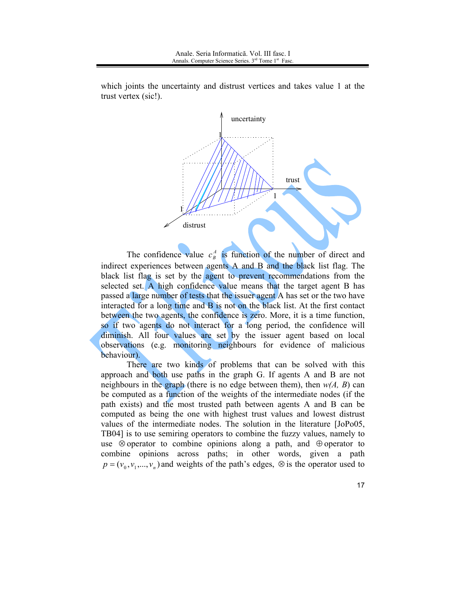

which joints the uncertainty and distrust vertices and takes value 1 at the trust vertex (sic!).

The confidence value  $c_B^A$  is function of the number of direct and indirect experiences between agents A and B and the black list flag. The black list flag is set by the agent to prevent recommendations from the selected set. A high confidence value means that the target agent B has passed a large number of tests that the issuer agent A has set or the two have interacted for a long time and B is not on the black list. At the first contact between the two agents, the confidence is zero. More, it is a time function, so if two agents do not interact for a long period, the confidence will diminish. All four values are set by the issuer agent based on local observations (e.g. monitoring neighbours for evidence of malicious behaviour).

There are two kinds of problems that can be solved with this approach and both use paths in the graph G. If agents A and B are not neighbours in the graph (there is no edge between them), then  $w(A, B)$  can be computed as a function of the weights of the intermediate nodes (if the path exists) and the most trusted path between agents A and B can be computed as being the one with highest trust values and lowest distrust values of the intermediate nodes. The solution in the literature [JoPo05, TB04] is to use semiring operators to combine the fuzzy values, namely to use  $\otimes$  operator to combine opinions along a path, and  $\oplus$  operator to combine opinions across paths; in other words, given a path  $p = (v_0, v_1, ..., v_n)$  and weights of the path's edges,  $\otimes$  is the operator used to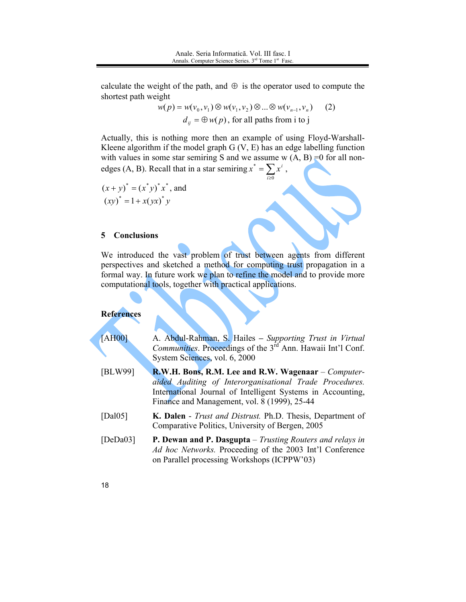calculate the weight of the path, and  $\oplus$  is the operator used to compute the shortest path weight

> $w(p) = w(v_0, v_1) \otimes w(v_1, v_2) \otimes ... \otimes w(v_{n-1}, v_n)$  $(2)$  $d_{ii} = \bigoplus w(p)$ , for all paths from i to j

Actually, this is nothing more then an example of using Floyd-Warshall-Kleene algorithm if the model graph  $G(V, E)$  has an edge labelling function with values in some star semiring S and we assume w  $(A, B) = 0$  for all nonedges (A, B). Recall that in a star semiring  $x^* = \sum_{i\geq 0} x^i$ ,

$$
(x+y)^* = (x^*y)^*x^*
$$
, and  
\n $(xy)^* = 1 + x(yx)^*y$ 

#### 5 **Conclusions**

We introduced the vast problem of trust between agents from different perspectives and sketched a method for computing trust propagation in a formal way. In future work we plan to refine the model and to provide more computational tools, together with practical applications.

### **References**

| AHO0 | A. Abdul-Rahman, S. Hailes - Supporting Trust in Virtual                       |
|------|--------------------------------------------------------------------------------|
|      | <i>Communities.</i> Proceedings of the 3 <sup>rd</sup> Ann. Hawaii Int'l Conf. |
|      | System Sciences, vol. 6, 2000                                                  |

- R.W.H. Bons, R.M. Lee and R.W. Wagenaar Computer-[BLW99] aided Auditing of Interorganisational Trade Procedures. International Journal of Intelligent Systems in Accounting, Finance and Management, vol. 8 (1999), 25-44
- [Dal $05$ ] K. Dalen - Trust and Distrust. Ph.D. Thesis, Department of Comparative Politics, University of Bergen, 2005
- $[DeDa03]$ P. Dewan and P. Dasgupta - Trusting Routers and relays in Ad hoc Networks. Proceeding of the 2003 Int'l Conference on Parallel processing Workshops (ICPPW'03)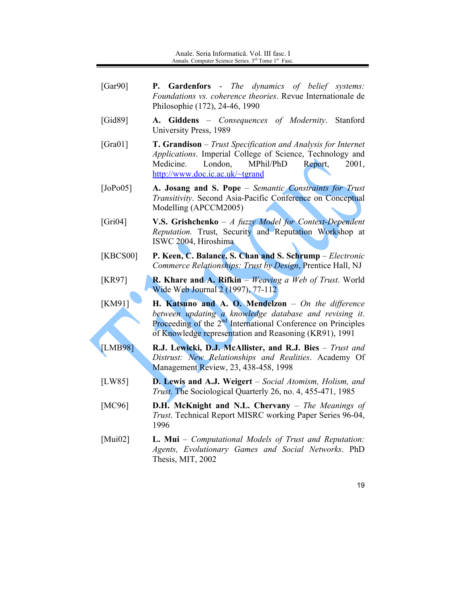- [ $Gar90$ ] **P. Gardenfors** - The dynamics of belief systems: Foundations vs. coherence theories. Revue Internationale de Philosophie (172), 24-46, 1990
- $[Gid89]$ A. Giddens - Consequences of Modernity. Stanford University Press, 1989
- T. Grandison Trust Specification and Analysis for Internet  $[Gra01]$ Applications. Imperial College of Science, Technology and Medicine. London. MPhil/PhD Report, 2001. http://www.doc.ic.ac.uk/~tgrand
- $[JoPo05]$ A. Josang and S. Pope - Semantic Constraints for Trust *Transitivity.* Second Asia-Pacific Conference on Conceptual Modelling (APCCM2005)
- V.S. Grishchenko A fuzzy Model for Context-Dependent  $[Gri04]$ Reputation. Trust, Security and Reputation Workshop at ISWC 2004, Hiroshima
- P. Keen, C. Balance, S. Chan and S. Schrump Electronic [KBCS00] Commerce Relationships: Trust by Design, Prentice Hall, NJ
- $[KR97]$ **R. Khare and A. Rifkin** – Weaving a Web of Trust. World Wide Web Journal 2 (1997), 77-112
- $[KM91]$ H. Katsuno and A. O. Mendelzon  $-$  On the difference between updating a knowledge database and revising it. Proceeding of the  $2<sup>nd</sup>$  International Conference on Principles of Knowledge representation and Reasoning (KR91), 1991
- [LMB98] R.J. Lewicki, D.J. McAllister, and R.J. Bies - Trust and Distrust: New Relationships and Realities. Academy Of Management Review, 23, 438-458, 1998
- $[LW85]$ **D. Lewis and A.J. Weigert** – Social Atomism, Holism, and *Trust.* The Sociological Quarterly 26, no. 4, 455-471, 1985
- $[MC96]$ D.H. McKnight and N.L. Chervany - The Meanings of Trust. Technical Report MISRC working Paper Series 96-04, 1996
- [ $Mui02$ ] **L. Mui** – Computational Models of Trust and Reputation: Agents, Evolutionary Games and Social Networks. PhD Thesis, MIT, 2002